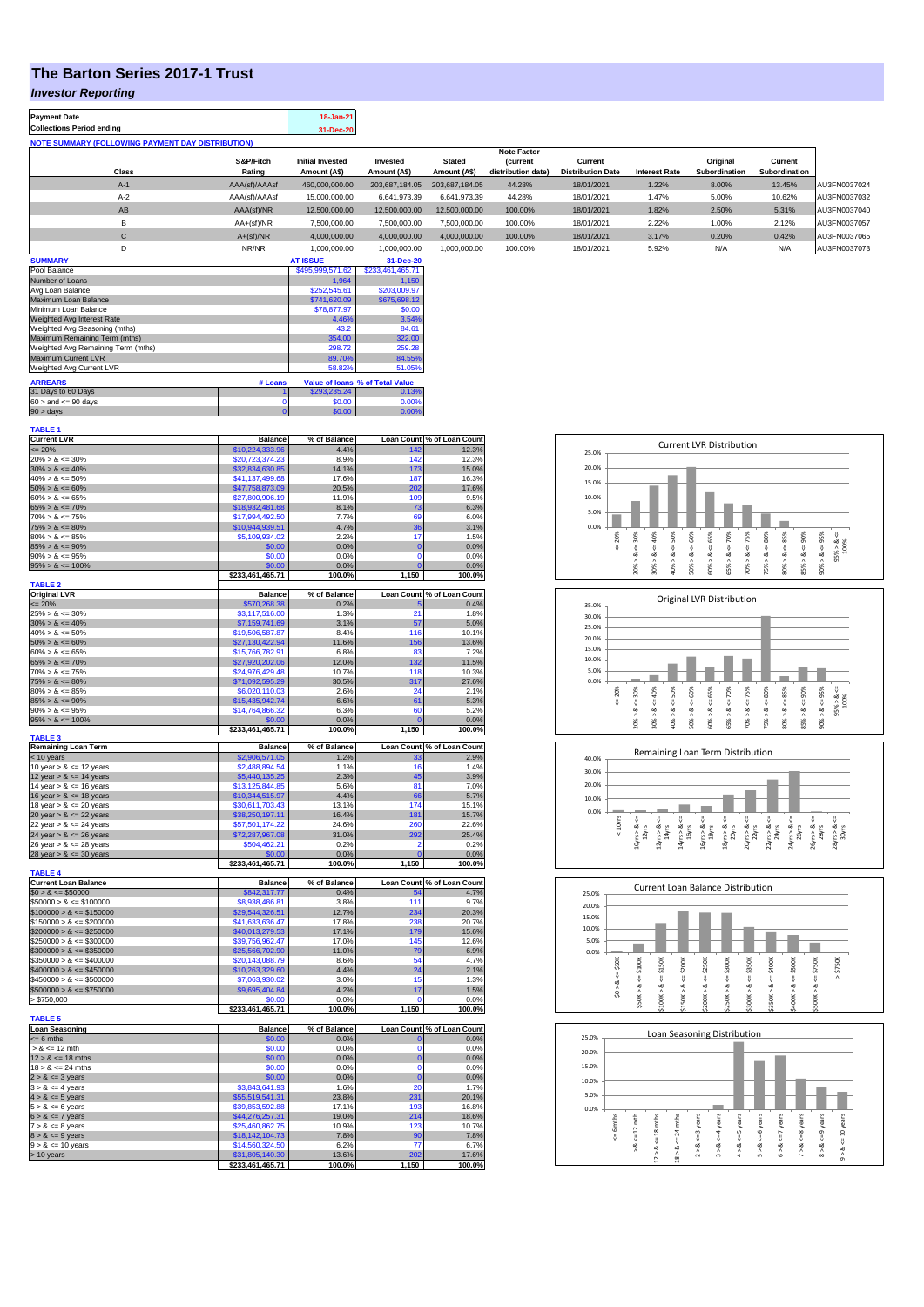## **The Barton Series 2017-1 Trust**

## *Investor Reporting*

| <b>Payment Date</b><br><b>Collections Period ending</b>  |               | 18-Jan-21<br>31-Dec-20  |                  |                |                                      |                          |                      |               |               |              |
|----------------------------------------------------------|---------------|-------------------------|------------------|----------------|--------------------------------------|--------------------------|----------------------|---------------|---------------|--------------|
| <b>NOTE SUMMARY (FOLLOWING PAYMENT DAY DISTRIBUTION)</b> |               |                         |                  |                |                                      |                          |                      |               |               |              |
|                                                          | S&P/Fitch     | <b>Initial Invested</b> | Invested         | <b>Stated</b>  | <b>Note Factor</b><br><b>Current</b> | Current                  |                      | Original      | Current       |              |
| Class                                                    | Rating        | Amount (A\$)            | Amount (A\$)     | Amount (A\$)   | distribution date)                   | <b>Distribution Date</b> | <b>Interest Rate</b> | Subordination | Subordination |              |
| $A-1$                                                    | AAA(sf)/AAAsf | 460,000,000.00          | 203,687,184.05   | 203.687.184.05 | 44.28%                               | 18/01/2021               | 1.22%                | 8.00%         | 13.45%        | AU3FN0037024 |
| $A-2$                                                    | AAA(sf)/AAAsf | 15,000,000.00           | 6.641.973.39     | 6.641.973.39   | 44.28%                               | 18/01/2021               | 1.47%                | 5.00%         | 10.62%        | AU3FN0037032 |
| AB                                                       | AAA(sf)/NR    | 12,500,000.00           | 12,500,000.00    | 12.500.000.00  | 100.00%                              | 18/01/2021               | 1.82%                | 2.50%         | 5.31%         | AU3FN0037040 |
| B                                                        | AA+(sf)/NR    | 7.500.000.00            | 7.500.000.00     | 7.500.000.00   | 100.00%                              | 18/01/2021               | 2.22%                | 1.00%         | 2.12%         | AU3FN0037057 |
| $\mathbf{C}$                                             | $A+(sf)/NR$   | 4.000.000.00            | 4.000.000.00     | 4.000.000.00   | 100.00%                              | 18/01/2021               | 3.17%                | 0.20%         | 0.42%         | AU3FN0037065 |
| D                                                        | NR/NR         | 1.000.000.00            | 1.000.000.00     | 1.000.000.00   | 100.00%                              | 18/01/2021               | 5.92%                | N/A           | N/A           | AU3FN0037073 |
| <b>CUBBAADY</b>                                          |               | AT IDDITE               | <b>24 Bon 20</b> |                |                                      |                          |                      |               |               |              |

| <b>SUMMARY</b>                     |              | <b>AT ISSUE</b>  | 31-Dec-20                       |
|------------------------------------|--------------|------------------|---------------------------------|
| Pool Balance                       |              | \$495,999,571.62 | \$233,461,465.71                |
| Number of Loans                    |              | 1.964            | 1.150                           |
| Avg Loan Balance                   |              | \$252,545.61     | \$203,009.97                    |
| Maximum Loan Balance               | \$741,620.09 | \$675,698.12     |                                 |
| Minimum Loan Balance               | \$78,877.97  | \$0.00           |                                 |
| Weighted Avg Interest Rate         | 4.46%        | 3.54%            |                                 |
| Weighted Avg Seasoning (mths)      | 43.2         | 84.61            |                                 |
| Maximum Remaining Term (mths)      | 354.00       | 322.00           |                                 |
| Weighted Avg Remaining Term (mths) | 298.72       | 259.28           |                                 |
| Maximum Current LVR                | 89.70%       | 84.55%           |                                 |
| Weighted Avg Current LVR           |              | 58.82%           | 51.05%                          |
| <b>ARREARS</b>                     | # Loans      |                  | Value of Ioans % of Total Value |
| 31 Days to 60 Days                 |              | \$293.235.24     | 0.13%                           |
| $60 >$ and $\leq 90$ days          |              | \$0.00           | 0.00%                           |
| $90 >$ days                        | 0            | \$0.00           | 0.00%                           |

| <b>TABLE 1</b>              |                  |              |                   |                            |
|-----------------------------|------------------|--------------|-------------------|----------------------------|
| <b>Current LVR</b>          | <b>Balance</b>   | % of Balance |                   | Loan Count % of Loan Count |
| $= 20%$                     | \$10.224.333.96  | 4.4%         | 142               | 12.3%                      |
| $20\% > 8 \le 30\%$         | \$20,723,374.23  | 8.9%         | 142               | 12.3%                      |
| $30\% > 8 \le 40\%$         | \$32,834,630.85  | 14.1%        | 173               | 15.0%                      |
| $40\% > 8 \le 50\%$         | \$41,137,499.68  | 17.6%        | 187               | 16.3%                      |
|                             |                  |              |                   |                            |
| $50\% > 8 \le 60\%$         | \$47,758,873.09  | 20.5%        | 202               | 17.6%                      |
| $60\% > 8 \le 65\%$         | \$27,800,906.19  | 11.9%        | 109               | 9.5%                       |
| $65\% > 8 \le 70\%$         | \$18,932,481.68  | 8.1%         | 73                | 6.3%                       |
| $70\% > 8 \le 75\%$         | \$17,994,492.50  | 7.7%         | 69                | 6.0%                       |
| $75\% > 8 \le 80\%$         | \$10,944,939.51  | 4.7%         | 36                | 3.1%                       |
| $80\% > 8 \le 85\%$         | \$5,109,934.02   | 2.2%         | 17                | 1.5%                       |
| $85\% > 8 \le 90\%$         | \$0.00           | 0.0%         | $\Omega$          | 0.0%                       |
| $90\% > 8 \le 95\%$         | \$0.00           | 0.0%         | $\mathbf 0$       | 0.0%                       |
|                             | \$0.00           | 0.0%         | $\overline{0}$    | 0.0%                       |
| $95\% > 8 \le 100\%$        |                  |              |                   |                            |
|                             | \$233,461,465.71 | 100.0%       | 1,150             | 100.0%                     |
| <b>TABLE 2</b>              |                  |              |                   |                            |
| <b>Original LVR</b>         | <b>Balance</b>   | % of Balance | <b>Loan Count</b> | % of Loan Count            |
| $\leq$ 20%                  | \$570,268.38     | 0.2%         | 5                 | 0.4%                       |
| $25\% > 8 \le 30\%$         | \$3,117,516.00   | 1.3%         | 21                | 1.8%                       |
| $30\% > 8 \le 40\%$         | \$7,159,741.69   | 3.1%         | 57                | 5.0%                       |
| $40\% > 8 \le 50\%$         | \$19,506,587.87  | 8.4%         | 116               | 10.1%                      |
| $50\% > 8 \le 60\%$         | \$27,130,422.94  | 11.6%        | 156               | 13.6%                      |
| $60\% > 8 \le 65\%$         | \$15,766,782.91  | 6.8%         | 83                | 7.2%                       |
|                             |                  |              |                   |                            |
| $65\% > 8 \le 70\%$         | \$27,920,202.06  | 12.0%        | 132               | 11.5%                      |
| $70\% > 8 \le 75\%$         | \$24,976,429.48  | 10.7%        | 118               | 10.3%                      |
| $75\% > 8 \le 80\%$         | \$71,092,595.29  | 30.5%        | 317               | 27.6%                      |
| $80\% > 8 \le 85\%$         | \$6,020,110.03   | 2.6%         | 24                | 2.1%                       |
| $85\% > 8 \le 90\%$         | \$15,435,942.74  | 6.6%         | 61                | 5.3%                       |
| $90\% > 8 \le 95\%$         | \$14,764,866.32  | 6.3%         | 60                | 5.2%                       |
| $95\% > 8 \le 100\%$        | \$0.00           | 0.0%         | $\mathbf{C}$      | 0.0%                       |
|                             | \$233,461,465.71 | 100.0%       | 1,150             | 100.0%                     |
| <b>TABLE 3</b>              |                  |              |                   |                            |
| <b>Remaining Loan Term</b>  | <b>Balance</b>   | % of Balance |                   | Loan Count % of Loan Count |
| < 10 years                  | \$2,906,571.05   | 1.2%         |                   | 2.9%                       |
| 10 year $> 8 \le 12$ years  | \$2,488,894.54   | 1.1%         | 16                | 1.4%                       |
|                             |                  |              |                   |                            |
| 12 year $> 8 \le 14$ years  | \$5,440,135.25   | 2.3%         | 45                | 3.9%                       |
| 14 year $> 8 \le 16$ years  | \$13,125,844.85  | 5.6%         | 81                | 7.0%                       |
| 16 year $> 8 \le 18$ years  | \$10,344,515.97  | 4.4%         | 66                | 5.7%                       |
| 18 year $> 8 \le 20$ years  | \$30,611,703.43  | 13.1%        | 174               | 15.1%                      |
| 20 year $> 8 \le 22$ years  | \$38,250,197.11  | 16.4%        | 181               | 15.7%                      |
|                             |                  |              |                   |                            |
|                             |                  |              |                   |                            |
| 22 year $> 8 \le 24$ years  | \$57,501,174.22  | 24.6%        | 260               | 22.6%                      |
| 24 year $> 8 \le 26$ years  | \$72,287,967.08  | 31.0%        | 292               | 25.4%                      |
| 26 year $> 8 \le 28$ years  | \$504,462.21     | 0.2%         | 2                 | 0.2%                       |
| 28 year $> 8 \le 30$ years  | \$0.00           | 0.0%         | $\mathbf 0$       | 0.0%                       |
|                             | \$233,461,465.71 | 100.0%       | 1,150             | 100.0%                     |
| <b>TABLE 4</b>              |                  |              |                   |                            |
| <b>Current Loan Balance</b> | <b>Balance</b>   | % of Balance | <b>Loan Count</b> | % of Loan Count            |
| $$0 > 8 \le $50000$         | \$842,317.77     | 0.4%         |                   | 4.7%                       |
| $$50000 > 8 \le $100000$    | \$8,938,486.81   | 3.8%         | 111               | 9.7%                       |
|                             | \$29,544,326.51  | 12.7%        |                   |                            |
| $$100000 > 8 \le $150000$   |                  |              | 234<br>238        | 20.3%                      |
| $$150000 > 8 \leq $200000$  | \$41,633,636.47  | 17.8%        |                   | 20.7%                      |
| $$200000 > 8 \le $250000$   | \$40,013,279.53  | 17.1%        | 179               | 15.6%                      |
| $$250000 > 8 \le $300000$   | \$39,756,962.47  | 17.0%        | 145               | 12.6%                      |
| $$300000 > 8 \leq $350000$  | \$25,566,702.90  | 11.0%        | 79                | 6.9%                       |
| $$350000 > 8 \leq $400000$  | \$20,143,088.79  | 8.6%         | 54                | 4.7%                       |
| $$400000 > 8 \leq $450000$  | \$10,263,329.60  | 4.4%         | 24                | 2.1%                       |
| $$450000 > 8 \le $500000$   | \$7,063,930.02   | 3.0%         | 15                | 1.3%                       |
| $$500000 > 8 \le $750000$   | \$9,695,404.84   | 4.2%         | 17                | 1.5%                       |
| > \$750,000                 | \$0.00           | 0.0%         | 0                 | 0.0%                       |
|                             |                  |              |                   |                            |
|                             | \$233,461,465.71 | 100.0%       | 1,150             | 100.0%                     |
| <b>TABLE 5</b>              |                  |              |                   |                            |
| <b>Loan Seasoning</b>       | <b>Balance</b>   | % of Balance |                   | Loan Count % of Loan Count |
| $= 6$ mths                  | \$0.00           | 0.0%         | $\overline{0}$    | 0.0%                       |
| $> 8 \le 12$ mth            | \$0.00           | 0.0%         | O                 | 0.0%                       |
| $12 > 8 \le 18$ mths        | \$0.00           | 0.0%         | $\mathbf 0$       | 0.0%                       |
| $18 > 8 \le 24$ mths        | \$0.00           | 0.0%         | $\Omega$          | 0.0%                       |
| $2 > 8 \le 3$ years         | \$0.00           | 0.0%         | $\mathbf{0}$      | 0.0%                       |
| $3 > 8 \leq 4$ years        |                  | 1.6%         | 20                | 1.7%                       |
|                             | \$3,843,641.93   |              |                   |                            |
| $4 > 8 \le 5$ years         | \$55,519,541.31  | 23.8%        | 231               | 20.1%                      |
| $5 > 8 \le 6$ years         | \$39,853,592.88  | 17.1%        | 193               | 16.8%                      |
| $6 > 8 \le 7$ years         | \$44,276,257.31  | 19.0%        | 214               | 18.6%                      |
| $7 > 8 \le 8$ years         | \$25,460,862.75  | 10.9%        | 123               | 10.7%                      |
| $8 > 8 \le 9$ years         | \$18,142,104.73  | 7.8%         | 90                | 7.8%                       |
| $9 > 8 \le 10$ years        | \$14,560,324.50  | 6.2%         | 77                | 6.7%                       |
| > 10 years                  | \$31,805,140.30  | 13.6%        |                   | 17.6%                      |
|                             | \$233,461,465.71 | 100.0%       | 1,150             | 100.0%                     |

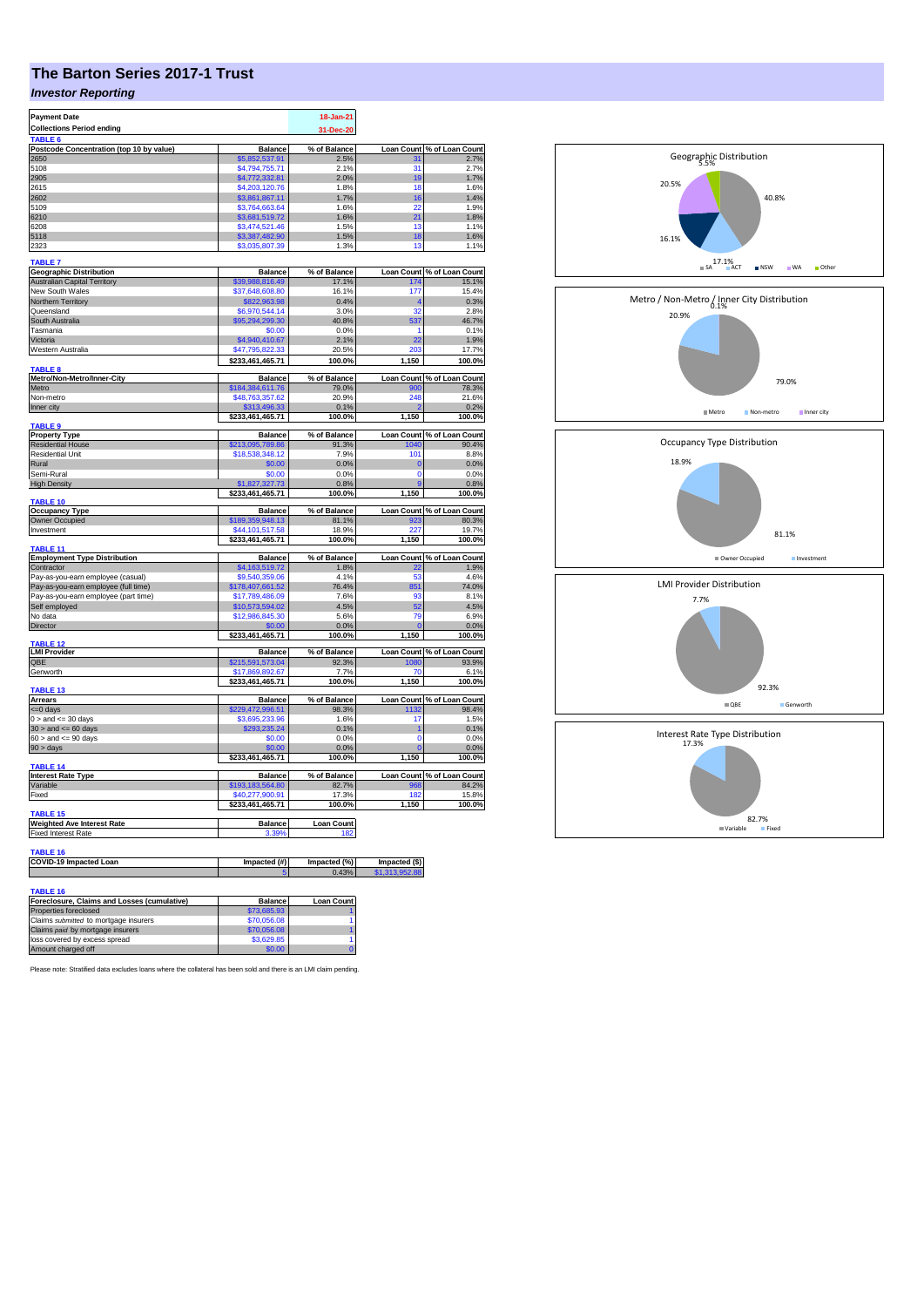## **The Barton Series 2017-1 Trust**

## *Investor Reporting*

| <b>Payment Date</b>                                    | 18-Jan-21                           |                   |                   |                            |
|--------------------------------------------------------|-------------------------------------|-------------------|-------------------|----------------------------|
| <b>Collections Period ending</b><br>TABLE <sub>6</sub> |                                     | 31-Dec-20         |                   |                            |
| Postcode Concentration (top 10 by value)               | <b>Balance</b>                      | % of Balance      | <b>Loan Count</b> | % of Loan Count            |
| 2650                                                   | \$5,852,537.91                      | 2.5%              | 31                | 2.7%                       |
| 5108                                                   | \$4,794,755.71                      | 2.1%              | 31                | 2.7%                       |
| 2905                                                   | \$4,772,332.81                      | 2.0%              | 19                | 1.7%                       |
| 2615<br>2602                                           | \$4,203,120.76                      | 1.8%<br>1.7%      | 18<br>16          | 1.6%<br>1.4%               |
| 5109                                                   | \$3,861,867.11<br>\$3,764,663.64    | 1.6%              | 22                | 1.9%                       |
| 6210                                                   | \$3,681,519.72                      | 1.6%              | 21                | 1.8%                       |
| 6208                                                   | \$3,474,521.46                      | 1.5%              | 13                | 1.1%                       |
| 5118                                                   | \$3,387,482.90                      | 1.5%              | 18                | 1.6%                       |
| 2323                                                   | \$3,035,807.39                      | 1.3%              | 13                | 1.1%                       |
| <b>TABLE 7</b>                                         |                                     |                   |                   |                            |
| <b>Geographic Distribution</b>                         | <b>Balance</b>                      | % of Balance      | <b>Loan Count</b> | % of Loan Count            |
| <b>Australian Capital Territory</b>                    | \$39,988,816.49                     | 17.1%             | 174               | 15.1%                      |
| New South Wales                                        | \$37,648,608.80<br>\$822,963.98     | 16.1%<br>0.4%     | 177<br>4          | 15.4%<br>0.3%              |
| Northern Territory<br>Queensland                       | \$6,970,544.14                      | 3.0%              | 32                | 2.8%                       |
| South Australia                                        | \$95,294,299.30                     | 40.8%             | 537               | 46.7%                      |
| Tasmania                                               | \$0.00                              | 0.0%              | 1                 | 0.1%                       |
| Victoria                                               | \$4,940,410.67                      | 2.1%              | 22                | 1.9%                       |
| Western Australia                                      | \$47,795,822.33                     | 20.5%             | 203               | 17.7%                      |
| <b>TABLE 8</b>                                         | \$233,461,465.71                    | 100.0%            | 1,150             | 100.0%                     |
| Metro/Non-Metro/Inner-City                             | <b>Balance</b>                      | % of Balance      | <b>Loan Count</b> | % of Loan Count            |
| Metro                                                  | \$184,384,611.76                    | 79.0%             |                   | 78.3%                      |
| Non-metro                                              | \$48,763,357.62                     | 20.9%             | 248               | 21.6%                      |
| Inner city                                             | \$313,496.33                        | 0.1%              |                   | 0.2%                       |
| TABLE 9                                                | \$233,461,465.71                    | 100.0%            | 1,150             | 100.0%                     |
| <b>Property Type</b>                                   | <b>Balance</b>                      | % of Balance      | <b>Loan Count</b> | % of Loan Count            |
| <b>Residential House</b>                               | \$213,095,789.86                    | 91.3%             | 1040              | 90.4%                      |
| Residential Unit                                       | \$18,538,348.12                     | 7.9%              | 101               | 8.8%                       |
| Rural                                                  | \$0.00                              | 0.0%              | $\bf{0}$          | 0.0%                       |
| Semi-Rural                                             | \$0.00                              | 0.0%              | 0<br>9            | 0.0%<br>0.8%               |
| <b>High Density</b>                                    | \$1,827,327.73<br>\$233,461,465.71  | 0.8%<br>100.0%    | 1,150             | 100.0%                     |
| <b>TABLE 10</b>                                        |                                     |                   |                   |                            |
| <b>Occupancy Type</b>                                  | <b>Balance</b>                      | % of Balance      |                   | Loan Count % of Loan Count |
| Owner Occupied<br>Investment                           | \$189,359,948.13<br>\$44,101,517.58 | 81.1%<br>18.9%    | 923<br>227        | 80.3%<br>19.7%             |
|                                                        | \$233,461,465.71                    | 100.0%            | 1,150             | 100.0%                     |
| <b>TABLE 11</b>                                        |                                     |                   |                   |                            |
| <b>Employment Type Distribution</b>                    | <b>Balance</b>                      | % of Balance      |                   | Loan Count % of Loan Count |
| Contractor                                             | \$4,163,519.72                      | 1.8%              | 22                | 1.9%                       |
| Pay-as-you-earn employee (casual)                      | \$9,540,359.06                      | 4.1%              | 53                | 4.6%                       |
| Pay-as-you-earn employee (full time)                   | \$178,407,661.52                    | 76.4%             | 851<br>93         | 74.0%                      |
| Pay-as-you-earn employee (part time)<br>Self employed  | \$17,789,486.09<br>\$10,573,594.02  | 7.6%<br>4.5%      | 52                | 8.1%<br>4.5%               |
| No data                                                | \$12,986,845.30                     | 5.6%              | <b>79</b>         | 6.9%                       |
| <b>Director</b>                                        | \$0.00                              | 0.0%              | O                 | 0.0%                       |
|                                                        | \$233,461,465.71                    | 100.0%            | 1,150             | 100.0%                     |
| <b>TABLE 12</b><br><b>LMI Provider</b>                 | <b>Balance</b>                      | % of Balance      | <b>Loan Count</b> | % of Loan Count            |
| QBE                                                    | \$215,591,573.04                    | 92.3%             | 1080              | 93.9%                      |
| Genworth                                               | \$17,869,892.67                     | 7.7%              | 70                | 6.1%                       |
|                                                        | \$233,461,465.71                    | 100.0%            | 1,150             | 100.0%                     |
| TABLE <sub>13</sub>                                    |                                     |                   |                   |                            |
| Arrears                                                | <b>Balance</b>                      | % of Balance      | <b>Loan Count</b> | % of Loan Count            |
| <= 0 days<br>$0 >$ and $\leq$ 30 days                  | \$229,472,996.51<br>\$3,695,233.96  | 98.3%<br>1.6%     | 1132<br>17        | 98.4%<br>1.5%              |
| $30 >$ and $\leq 60$ days                              | \$293,235.24                        | 0.1%              | 1                 | 0.1%                       |
| $60 >$ and $\lt = 90$ days                             | \$0.00                              | 0.0%              | $\Omega$          | 0.0%                       |
| $90 > \text{days}$                                     | \$0.00                              | 0.0%              | O                 | 0.0%                       |
|                                                        | \$233,461,465.71                    | 100.0%            | 1,150             | 100.0%                     |
| <b>TABLE 14</b><br><b>Interest Rate Type</b>           | <b>Balance</b>                      | % of Balance      | <b>Loan Count</b> | % of Loan Count            |
| Variable                                               | \$193,183,564.80                    | 82.7%             | 968               | 84.2%                      |
| Fixed                                                  | \$40,277,900.91                     | 17.3%             | 182               | 15.8%                      |
|                                                        | \$233,461,465.71                    | 100.0%            | 1,150             | 100.0%                     |
| <b>TABLE 15</b>                                        |                                     |                   |                   |                            |
| <b>Weighted Ave Interest Rate</b>                      | <b>Balance</b>                      | <b>Loan Count</b> |                   |                            |
| <b>Fixed Interest Rate</b>                             | 3.39%                               | 18:               |                   |                            |
| <b>TABLE 16</b>                                        |                                     |                   |                   |                            |
| COVID-19 Impacted Loan                                 | Impacted (#)                        | Impacted (%)      | lmpacted (\$)     |                            |
|                                                        |                                     | 0.43 <sup>o</sup> |                   |                            |
| <b>TABLE 16</b>                                        |                                     |                   |                   |                            |
| Foreclosure, Claims and Losses (cumulative)            | <b>Balance</b>                      | <b>Loan Count</b> |                   |                            |
| Properties foreclosed                                  | \$73,685.93                         |                   |                   |                            |
| Claims submitted to mortgage insurers                  | \$70,056.08                         | 1                 |                   |                            |
| Claims paid by mortgage insurers                       | \$70,056.08                         | 1                 |                   |                            |
| loss covered by excess spread                          | \$3,629.85                          | 1                 |                   |                            |
| Amount charged off                                     | \$0.00                              |                   |                   |                            |



20.5%

5.5% Geographic Distribution

82.7% Variable Fixed

Please note: Stratified data excludes loans where the collateral has been sold and there is an LMI claim pending.